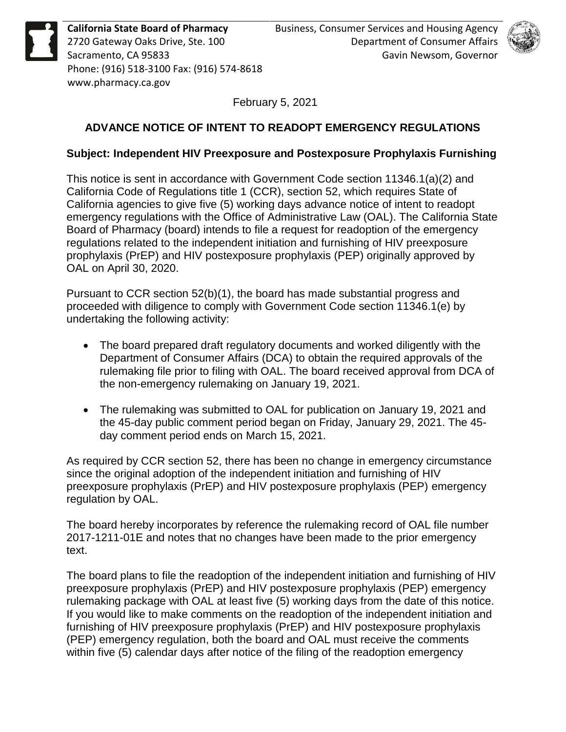



February 5, 2021

## **ADVANCE NOTICE OF INTENT TO READOPT EMERGENCY REGULATIONS**

## **Subject: Independent HIV Preexposure and Postexposure Prophylaxis Furnishing**

This notice is sent in accordance with Government Code section 11346.1(a)(2) and California Code of Regulations title 1 (CCR), section 52, which requires State of California agencies to give five (5) working days advance notice of intent to readopt emergency regulations with the Office of Administrative Law (OAL). The California State Board of Pharmacy (board) intends to file a request for readoption of the emergency regulations related to the independent initiation and furnishing of HIV preexposure prophylaxis (PrEP) and HIV postexposure prophylaxis (PEP) originally approved by OAL on April 30, 2020.

Pursuant to CCR section 52(b)(1), the board has made substantial progress and proceeded with diligence to comply with Government Code section 11346.1(e) by undertaking the following activity:

- The board prepared draft regulatory documents and worked diligently with the Department of Consumer Affairs (DCA) to obtain the required approvals of the rulemaking file prior to filing with OAL. The board received approval from DCA of the non-emergency rulemaking on January 19, 2021.
- The rulemaking was submitted to OAL for publication on January 19, 2021 and the 45-day public comment period began on Friday, January 29, 2021. The 45 day comment period ends on March 15, 2021.

As required by CCR section 52, there has been no change in emergency circumstance since the original adoption of the independent initiation and furnishing of HIV preexposure prophylaxis (PrEP) and HIV postexposure prophylaxis (PEP) emergency regulation by OAL.

The board hereby incorporates by reference the rulemaking record of OAL file number 2017-1211-01E and notes that no changes have been made to the prior emergency text.

The board plans to file the readoption of the independent initiation and furnishing of HIV preexposure prophylaxis (PrEP) and HIV postexposure prophylaxis (PEP) emergency rulemaking package with OAL at least five (5) working days from the date of this notice. If you would like to make comments on the readoption of the independent initiation and furnishing of HIV preexposure prophylaxis (PrEP) and HIV postexposure prophylaxis (PEP) emergency regulation, both the board and OAL must receive the comments within five (5) calendar days after notice of the filing of the readoption emergency